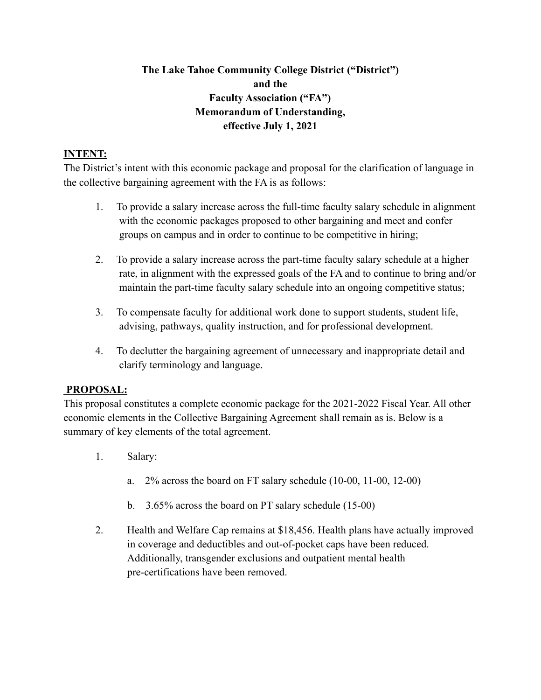# **The Lake Tahoe Community College District ("District") and the Faculty Association ("FA") Memorandum of Understanding, effective July 1, 2021**

## **INTENT:**

The District's intent with this economic package and proposal for the clarification of language in the collective bargaining agreement with the FA is as follows:

- 1. To provide a salary increase across the full-time faculty salary schedule in alignment with the economic packages proposed to other bargaining and meet and confer groups on campus and in order to continue to be competitive in hiring;
- 2. To provide a salary increase across the part-time faculty salary schedule at a higher rate, in alignment with the expressed goals of the FA and to continue to bring and/or maintain the part-time faculty salary schedule into an ongoing competitive status;
- 3. To compensate faculty for additional work done to support students, student life, advising, pathways, quality instruction, and for professional development.
- 4. To declutter the bargaining agreement of unnecessary and inappropriate detail and clarify terminology and language.

### **PROPOSAL:**

This proposal constitutes a complete economic package for the 2021-2022 Fiscal Year. All other economic elements in the Collective Bargaining Agreement shall remain as is. Below is a summary of key elements of the total agreement.

- 1. Salary:
	- a. 2% across the board on FT salary schedule (10-00, 11-00, 12-00)
	- b. 3.65% across the board on PT salary schedule (15-00)
- 2. Health and Welfare Cap remains at \$18,456. Health plans have actually improved in coverage and deductibles and out-of-pocket caps have been reduced. Additionally, transgender exclusions and outpatient mental health pre-certifications have been removed.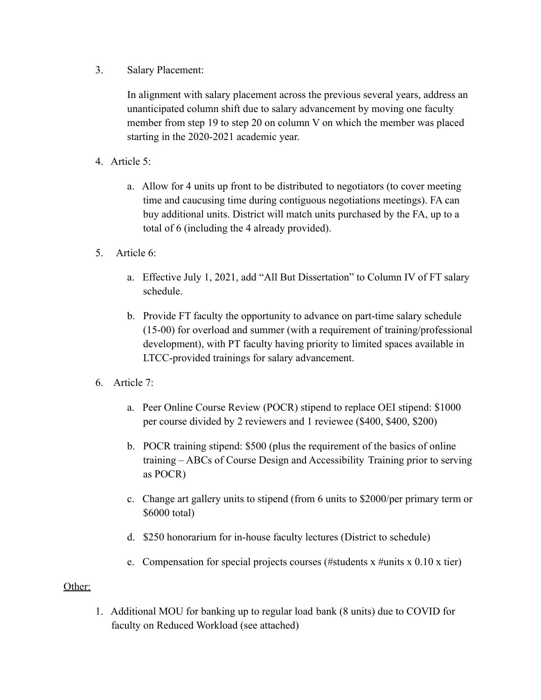3. Salary Placement:

In alignment with salary placement across the previous several years, address an unanticipated column shift due to salary advancement by moving one faculty member from step 19 to step 20 on column V on which the member was placed starting in the 2020-2021 academic year.

- 4. Article 5:
	- a. Allow for 4 units up front to be distributed to negotiators (to cover meeting time and caucusing time during contiguous negotiations meetings). FA can buy additional units. District will match units purchased by the FA, up to a total of 6 (including the 4 already provided).
- 5. Article 6:
	- a. Effective July 1, 2021, add "All But Dissertation" to Column IV of FT salary schedule.
	- b. Provide FT faculty the opportunity to advance on part-time salary schedule (15-00) for overload and summer (with a requirement of training/professional development), with PT faculty having priority to limited spaces available in LTCC-provided trainings for salary advancement.
- 6. Article 7:
	- a. Peer Online Course Review (POCR) stipend to replace OEI stipend: \$1000 per course divided by 2 reviewers and 1 reviewee (\$400, \$400, \$200)
	- b. POCR training stipend: \$500 (plus the requirement of the basics of online training – ABCs of Course Design and Accessibility Training prior to serving as POCR)
	- c. Change art gallery units to stipend (from 6 units to \$2000/per primary term or \$6000 total)
	- d. \$250 honorarium for in-house faculty lectures (District to schedule)
	- e. Compensation for special projects courses (#students x #units x 0.10 x tier)

### Other:

1. Additional MOU for banking up to regular load bank (8 units) due to COVID for faculty on Reduced Workload (see attached)